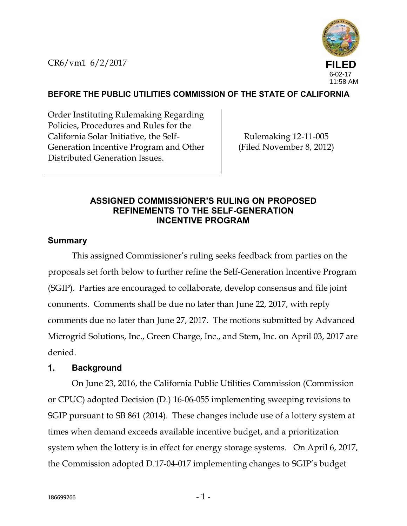CR6/vm1 6/2/2017



## **BEFORE THE PUBLIC UTILITIES COMMISSION OF THE STATE OF CALIFORNIA**

Order Instituting Rulemaking Regarding Policies, Procedures and Rules for the California Solar Initiative, the Self- Generation Incentive Program and Other Distributed Generation Issues.

Rulemaking 12-11-005 (Filed November 8, 2012)

### **ASSIGNED COMMISSIONER'S RULING ON PROPOSED REFINEMENTS TO THE SELF-GENERATION INCENTIVE PROGRAM**

#### **Summary**

This assigned Commissioner's ruling seeks feedback from parties on the proposals set forth below to further refine the Self-Generation Incentive Program (SGIP). Parties are encouraged to collaborate, develop consensus and file joint comments. Comments shall be due no later than June 22, 2017, with reply comments due no later than June 27, 2017. The motions submitted by Advanced Microgrid Solutions, Inc., Green Charge, Inc., and Stem, Inc. on April 03, 2017 are denied.

#### **1. Background**

On June 23, 2016, the California Public Utilities Commission (Commission or CPUC) adopted Decision (D.) 16-06-055 implementing sweeping revisions to SGIP pursuant to SB 861 (2014). These changes include use of a lottery system at times when demand exceeds available incentive budget, and a prioritization system when the lottery is in effect for energy storage systems. On April 6, 2017, the Commission adopted D.17-04-017 implementing changes to SGIP's budget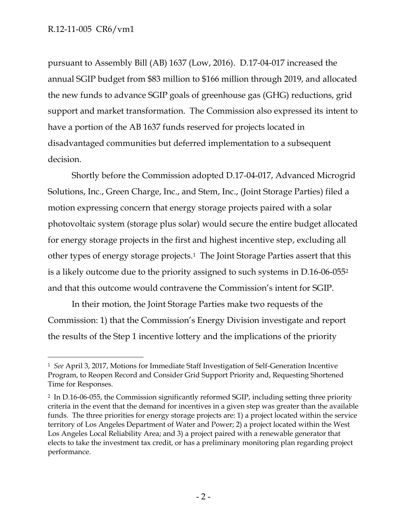pursuant to Assembly Bill (AB) 1637 (Low, 2016). D.17-04-017 increased the annual SGIP budget from \$83 million to \$166 million through 2019, and allocated the new funds to advance SGIP goals of greenhouse gas (GHG) reductions, grid support and market transformation. The Commission also expressed its intent to have a portion of the AB 1637 funds reserved for projects located in disadvantaged communities but deferred implementation to a subsequent decision.

Shortly before the Commission adopted D.17-04-017, Advanced Microgrid Solutions, Inc., Green Charge, Inc., and Stem, Inc., (Joint Storage Parties) filed a motion expressing concern that energy storage projects paired with a solar photovoltaic system (storage plus solar) would secure the entire budget allocated for energy storage projects in the first and highest incentive step, excluding all other types of energy storage projects.<sup>1</sup> The Joint Storage Parties assert that this is a likely outcome due to the priority assigned to such systems in D.16-06-055<sup>2</sup> and that this outcome would contravene the Commission's intent for SGIP.

In their motion, the Joint Storage Parties make two requests of the Commission: 1) that the Commission's Energy Division investigate and report the results of the Step 1 incentive lottery and the implications of the priority

<sup>1</sup> *See* April 3, 2017, Motions for Immediate Staff Investigation of Self-Generation Incentive Program, to Reopen Record and Consider Grid Support Priority and, Requesting Shortened Time for Responses.

<sup>2</sup> In D.16-06-055, the Commission significantly reformed SGIP, including setting three priority criteria in the event that the demand for incentives in a given step was greater than the available funds. The three priorities for energy storage projects are: 1) a project located within the service territory of Los Angeles Department of Water and Power; 2) a project located within the West Los Angeles Local Reliability Area; and 3) a project paired with a renewable generator that elects to take the investment tax credit, or has a preliminary monitoring plan regarding project performance.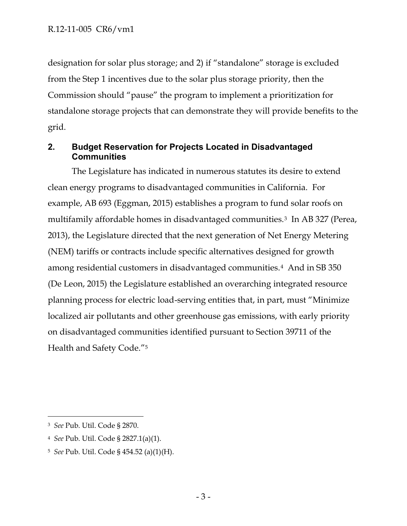designation for solar plus storage; and 2) if "standalone" storage is excluded from the Step 1 incentives due to the solar plus storage priority, then the Commission should "pause" the program to implement a prioritization for standalone storage projects that can demonstrate they will provide benefits to the grid.

# **2. Budget Reservation for Projects Located in Disadvantaged Communities**

The Legislature has indicated in numerous statutes its desire to extend clean energy programs to disadvantaged communities in California. For example, AB 693 (Eggman, 2015) establishes a program to fund solar roofs on multifamily affordable homes in disadvantaged communities.<sup>3</sup> In AB 327 (Perea, 2013), the Legislature directed that the next generation of Net Energy Metering (NEM) tariffs or contracts include specific alternatives designed for growth among residential customers in disadvantaged communities.<sup>4</sup> And in SB 350 (De Leon, 2015) the Legislature established an overarching integrated resource planning process for electric load-serving entities that, in part, must "Minimize localized air pollutants and other greenhouse gas emissions, with early priority on disadvantaged communities identified pursuant to Section 39711 of the Health and Safety Code."<sup>5</sup>

<sup>3</sup> *See* Pub. Util. Code § 2870.

<sup>4</sup> *See* Pub. Util. Code § 2827.1(a)(1).

<sup>5</sup> *See* Pub. Util. Code § 454.52 (a)(1)(H).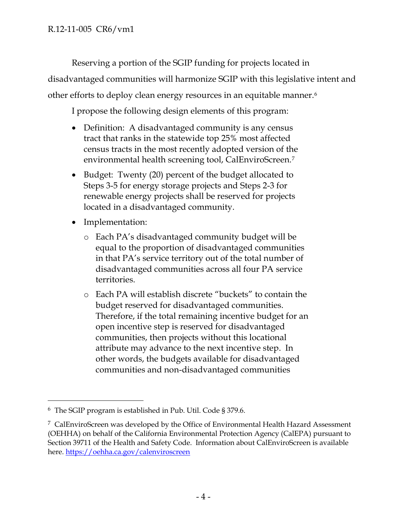Reserving a portion of the SGIP funding for projects located in disadvantaged communities will harmonize SGIP with this legislative intent and other efforts to deploy clean energy resources in an equitable manner.<sup>6</sup>

I propose the following design elements of this program:

- Definition: A disadvantaged community is any census tract that ranks in the statewide top 25% most affected census tracts in the most recently adopted version of the environmental health screening tool, CalEnviroScreen.<sup>7</sup>
- Budget: Twenty (20) percent of the budget allocated to Steps 3-5 for energy storage projects and Steps 2-3 for renewable energy projects shall be reserved for projects located in a disadvantaged community.
- Implementation:
	- o Each PA's disadvantaged community budget will be equal to the proportion of disadvantaged communities in that PA's service territory out of the total number of disadvantaged communities across all four PA service territories.
	- o Each PA will establish discrete "buckets" to contain the budget reserved for disadvantaged communities. Therefore, if the total remaining incentive budget for an open incentive step is reserved for disadvantaged communities, then projects without this locational attribute may advance to the next incentive step. In other words, the budgets available for disadvantaged communities and non-disadvantaged communities

<sup>6</sup> The SGIP program is established in Pub. Util. Code § 379.6.

<sup>7</sup> CalEnviroScreen was developed by the Office of Environmental Health Hazard Assessment (OEHHA) on behalf of the California Environmental Protection Agency (CalEPA) pursuant to Section 39711 of the Health and Safety Code. Information about CalEnviroScreen is available here. https://oehha.ca.gov/calenviroscreen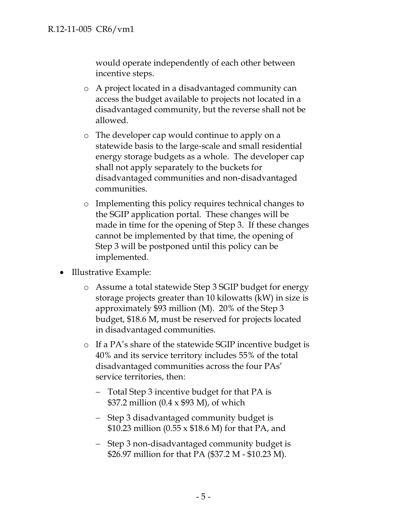would operate independently of each other between incentive steps.

- o A project located in a disadvantaged community can access the budget available to projects not located in a disadvantaged community, but the reverse shall not be allowed.
- o The developer cap would continue to apply on a statewide basis to the large-scale and small residential energy storage budgets as a whole. The developer cap shall not apply separately to the buckets for disadvantaged communities and non-disadvantaged communities.
- o Implementing this policy requires technical changes to the SGIP application portal. These changes will be made in time for the opening of Step 3. If these changes cannot be implemented by that time, the opening of Step 3 will be postponed until this policy can be implemented.
- Illustrative Example:
	- o Assume a total statewide Step 3 SGIP budget for energy storage projects greater than 10 kilowatts (kW) in size is approximately \$93 million (M). 20% of the Step 3 budget, \$18.6 M, must be reserved for projects located in disadvantaged communities.
	- o If a PA's share of the statewide SGIP incentive budget is 40% and its service territory includes 55% of the total disadvantaged communities across the four PAs' service territories, then:
		- Total Step 3 incentive budget for that PA is \$37.2 million (0.4 x \$93 M), of which
		- Step 3 disadvantaged community budget is \$10.23 million (0.55 x \$18.6 M) for that PA, and
		- Step 3 non-disadvantaged community budget is \$26.97 million for that PA (\$37.2 M - \$10.23 M).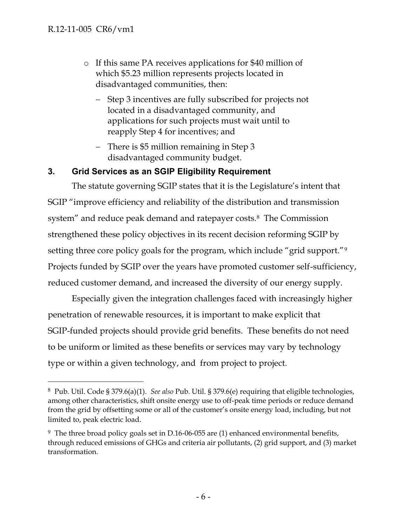- o If this same PA receives applications for \$40 million of which \$5.23 million represents projects located in disadvantaged communities, then:
	- Step 3 incentives are fully subscribed for projects not located in a disadvantaged community, and applications for such projects must wait until to reapply Step 4 for incentives; and
	- There is \$5 million remaining in Step 3 disadvantaged community budget.

### **3. Grid Services as an SGIP Eligibility Requirement**

The statute governing SGIP states that it is the Legislature's intent that SGIP "improve efficiency and reliability of the distribution and transmission system" and reduce peak demand and ratepayer costs.<sup>8</sup> The Commission strengthened these policy objectives in its recent decision reforming SGIP by setting three core policy goals for the program, which include "grid support."<sup>9</sup> Projects funded by SGIP over the years have promoted customer self-sufficiency, reduced customer demand, and increased the diversity of our energy supply.

Especially given the integration challenges faced with increasingly higher penetration of renewable resources, it is important to make explicit that SGIP-funded projects should provide grid benefits. These benefits do not need to be uniform or limited as these benefits or services may vary by technology type or within a given technology, and from project to project.

<sup>8</sup> Pub. Util. Code § 379.6(a)(1). *See also* Pub. Util. § 379.6(e) requiring that eligible technologies, among other characteristics, shift onsite energy use to off-peak time periods or reduce demand from the grid by offsetting some or all of the customer's onsite energy load, including, but not limited to, peak electric load.

<sup>9</sup> The three broad policy goals set in D.16-06-055 are (1) enhanced environmental benefits, through reduced emissions of GHGs and criteria air pollutants, (2) grid support, and (3) market transformation.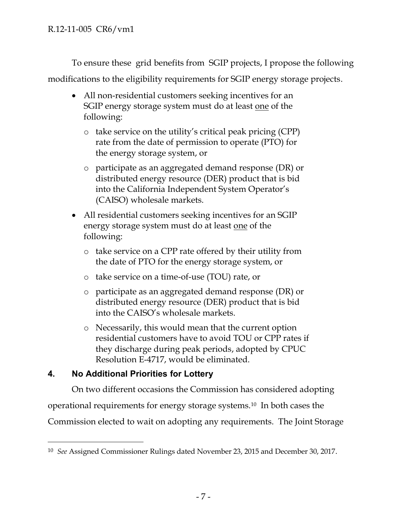To ensure these grid benefits from SGIP projects, I propose the following

modifications to the eligibility requirements for SGIP energy storage projects.

- All non-residential customers seeking incentives for an SGIP energy storage system must do at least one of the following:
	- o take service on the utility's critical peak pricing (CPP) rate from the date of permission to operate (PTO) for the energy storage system, or
	- o participate as an aggregated demand response (DR) or distributed energy resource (DER) product that is bid into the California Independent System Operator's (CAISO) wholesale markets.
- All residential customers seeking incentives for an SGIP energy storage system must do at least one of the following:
	- o take service on a CPP rate offered by their utility from the date of PTO for the energy storage system, or
	- o take service on a time-of-use (TOU) rate, or
	- o participate as an aggregated demand response (DR) or distributed energy resource (DER) product that is bid into the CAISO's wholesale markets.
	- o Necessarily, this would mean that the current option residential customers have to avoid TOU or CPP rates if they discharge during peak periods, adopted by CPUC Resolution E-4717, would be eliminated.

# **4. No Additional Priorities for Lottery**

On two different occasions the Commission has considered adopting

operational requirements for energy storage systems.<sup>10</sup> In both cases the

Commission elected to wait on adopting any requirements. The Joint Storage

<sup>10</sup> *See* Assigned Commissioner Rulings dated November 23, 2015 and December 30, 2017.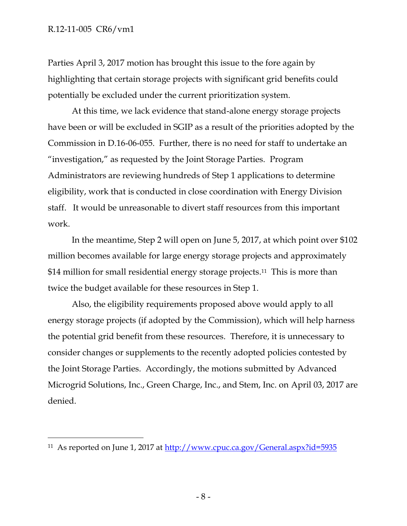Parties April 3, 2017 motion has brought this issue to the fore again by highlighting that certain storage projects with significant grid benefits could potentially be excluded under the current prioritization system.

At this time, we lack evidence that stand-alone energy storage projects have been or will be excluded in SGIP as a result of the priorities adopted by the Commission in D.16-06-055. Further, there is no need for staff to undertake an "investigation," as requested by the Joint Storage Parties. Program Administrators are reviewing hundreds of Step 1 applications to determine eligibility, work that is conducted in close coordination with Energy Division staff. It would be unreasonable to divert staff resources from this important work.

In the meantime, Step 2 will open on June 5, 2017, at which point over \$102 million becomes available for large energy storage projects and approximately \$14 million for small residential energy storage projects.<sup>11</sup> This is more than twice the budget available for these resources in Step 1.

Also, the eligibility requirements proposed above would apply to all energy storage projects (if adopted by the Commission), which will help harness the potential grid benefit from these resources. Therefore, it is unnecessary to consider changes or supplements to the recently adopted policies contested by the Joint Storage Parties. Accordingly, the motions submitted by Advanced Microgrid Solutions, Inc., Green Charge, Inc., and Stem, Inc. on April 03, 2017 are denied.

<sup>11</sup> As reported on June 1, 2017 at http://www.cpuc.ca.gov/General.aspx?id=5935